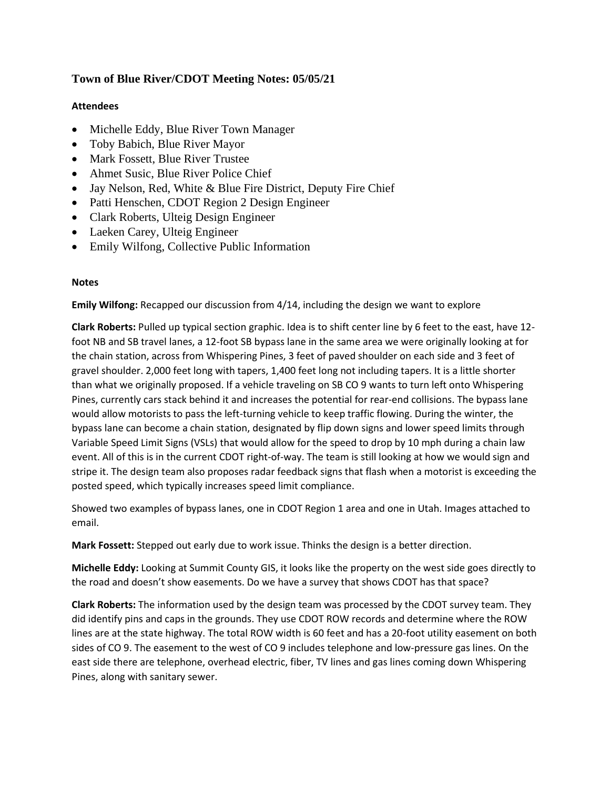## **Town of Blue River/CDOT Meeting Notes: 05/05/21**

## **Attendees**

- Michelle Eddy, Blue River Town Manager
- Toby Babich, Blue River Mayor
- Mark Fossett, Blue River Trustee
- Ahmet Susic, Blue River Police Chief
- Jay Nelson, Red, White & Blue Fire District, Deputy Fire Chief
- Patti Henschen, CDOT Region 2 Design Engineer
- Clark Roberts, Ulteig Design Engineer
- Laeken Carey, Ulteig Engineer
- Emily Wilfong, Collective Public Information

## **Notes**

**Emily Wilfong:** Recapped our discussion from 4/14, including the design we want to explore

**Clark Roberts:** Pulled up typical section graphic. Idea is to shift center line by 6 feet to the east, have 12 foot NB and SB travel lanes, a 12-foot SB bypass lane in the same area we were originally looking at for the chain station, across from Whispering Pines, 3 feet of paved shoulder on each side and 3 feet of gravel shoulder. 2,000 feet long with tapers, 1,400 feet long not including tapers. It is a little shorter than what we originally proposed. If a vehicle traveling on SB CO 9 wants to turn left onto Whispering Pines, currently cars stack behind it and increases the potential for rear-end collisions. The bypass lane would allow motorists to pass the left-turning vehicle to keep traffic flowing. During the winter, the bypass lane can become a chain station, designated by flip down signs and lower speed limits through Variable Speed Limit Signs (VSLs) that would allow for the speed to drop by 10 mph during a chain law event. All of this is in the current CDOT right-of-way. The team is still looking at how we would sign and stripe it. The design team also proposes radar feedback signs that flash when a motorist is exceeding the posted speed, which typically increases speed limit compliance.

Showed two examples of bypass lanes, one in CDOT Region 1 area and one in Utah. Images attached to email.

**Mark Fossett:** Stepped out early due to work issue. Thinks the design is a better direction.

**Michelle Eddy:** Looking at Summit County GIS, it looks like the property on the west side goes directly to the road and doesn't show easements. Do we have a survey that shows CDOT has that space?

**Clark Roberts:** The information used by the design team was processed by the CDOT survey team. They did identify pins and caps in the grounds. They use CDOT ROW records and determine where the ROW lines are at the state highway. The total ROW width is 60 feet and has a 20-foot utility easement on both sides of CO 9. The easement to the west of CO 9 includes telephone and low-pressure gas lines. On the east side there are telephone, overhead electric, fiber, TV lines and gas lines coming down Whispering Pines, along with sanitary sewer.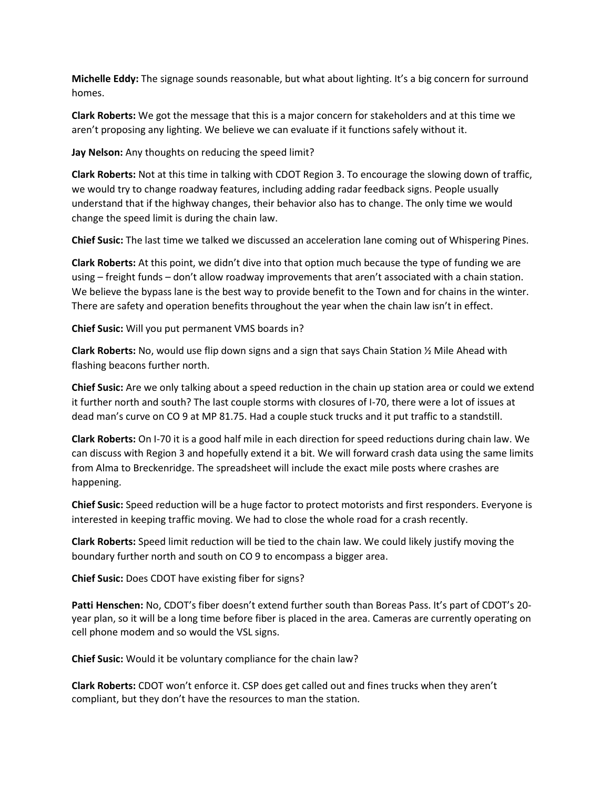**Michelle Eddy:** The signage sounds reasonable, but what about lighting. It's a big concern for surround homes.

**Clark Roberts:** We got the message that this is a major concern for stakeholders and at this time we aren't proposing any lighting. We believe we can evaluate if it functions safely without it.

**Jay Nelson:** Any thoughts on reducing the speed limit?

**Clark Roberts:** Not at this time in talking with CDOT Region 3. To encourage the slowing down of traffic, we would try to change roadway features, including adding radar feedback signs. People usually understand that if the highway changes, their behavior also has to change. The only time we would change the speed limit is during the chain law.

**Chief Susic:** The last time we talked we discussed an acceleration lane coming out of Whispering Pines.

**Clark Roberts:** At this point, we didn't dive into that option much because the type of funding we are using – freight funds – don't allow roadway improvements that aren't associated with a chain station. We believe the bypass lane is the best way to provide benefit to the Town and for chains in the winter. There are safety and operation benefits throughout the year when the chain law isn't in effect.

**Chief Susic:** Will you put permanent VMS boards in?

**Clark Roberts:** No, would use flip down signs and a sign that says Chain Station ½ Mile Ahead with flashing beacons further north.

**Chief Susic:** Are we only talking about a speed reduction in the chain up station area or could we extend it further north and south? The last couple storms with closures of I-70, there were a lot of issues at dead man's curve on CO 9 at MP 81.75. Had a couple stuck trucks and it put traffic to a standstill.

**Clark Roberts:** On I-70 it is a good half mile in each direction for speed reductions during chain law. We can discuss with Region 3 and hopefully extend it a bit. We will forward crash data using the same limits from Alma to Breckenridge. The spreadsheet will include the exact mile posts where crashes are happening.

**Chief Susic:** Speed reduction will be a huge factor to protect motorists and first responders. Everyone is interested in keeping traffic moving. We had to close the whole road for a crash recently.

**Clark Roberts:** Speed limit reduction will be tied to the chain law. We could likely justify moving the boundary further north and south on CO 9 to encompass a bigger area.

**Chief Susic:** Does CDOT have existing fiber for signs?

**Patti Henschen:** No, CDOT's fiber doesn't extend further south than Boreas Pass. It's part of CDOT's 20 year plan, so it will be a long time before fiber is placed in the area. Cameras are currently operating on cell phone modem and so would the VSL signs.

**Chief Susic:** Would it be voluntary compliance for the chain law?

**Clark Roberts:** CDOT won't enforce it. CSP does get called out and fines trucks when they aren't compliant, but they don't have the resources to man the station.